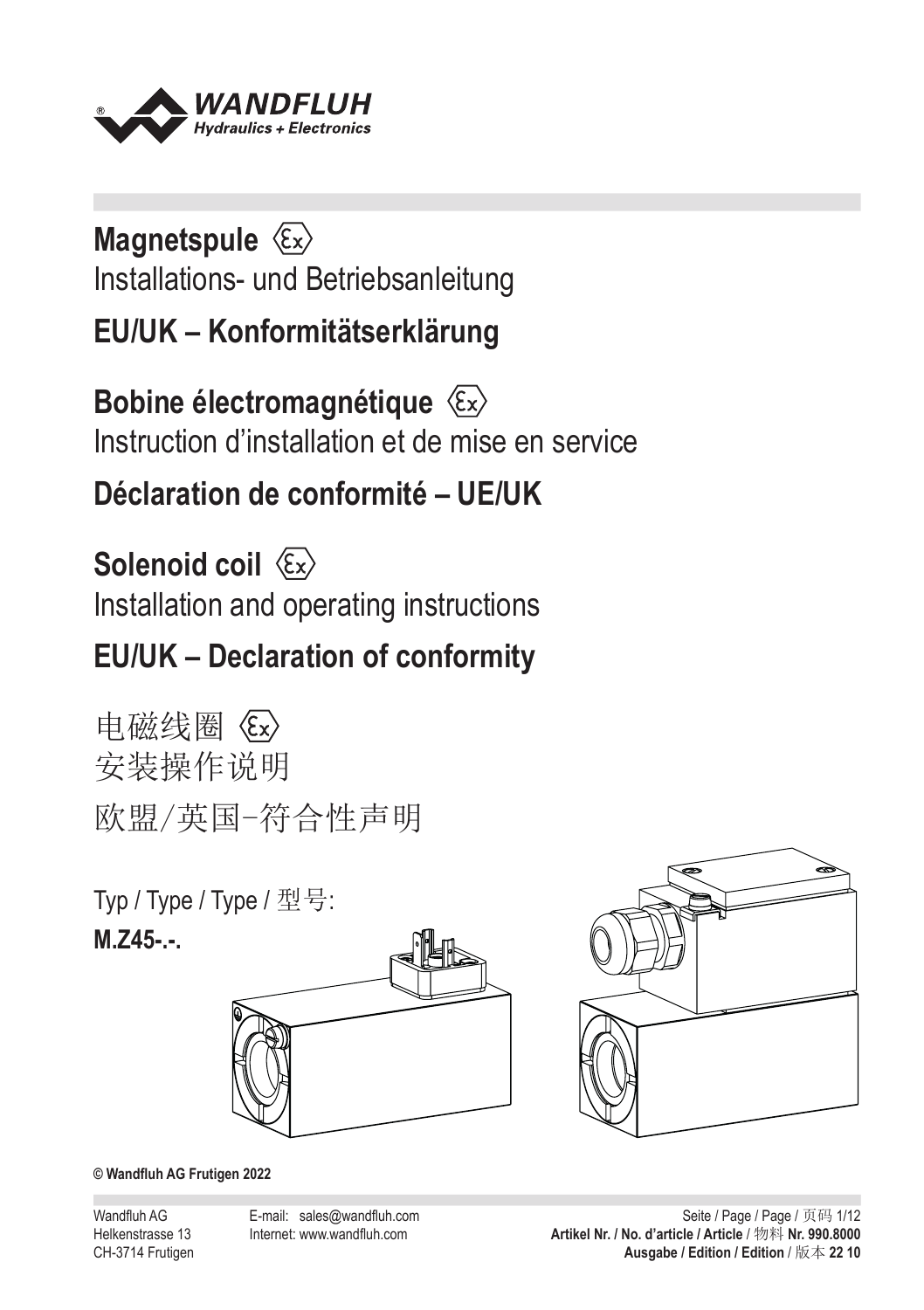

# **Magnetspule**

Installations- und Betriebsanleitung

# **EU/UK – Konformitätserklärung**

**Bobine électromagnétique**  3 Instruction d'installation et de mise en service 5 6 4

# **Déclaration de conformité – UE/UK**

Solenoid coil  $\langle \overline{\epsilon} \overline{\epsilon} \rangle$ 

Installation and operating instructions

# **EU/UK – Declaration of conformity**

电磁线圈 <<<< 安装操作说明 欧盟/英国-符合性声明

Typ / Type / Type / 型号:

**M.Z45-.-.**





**© Wandfluh AG Frutigen 2022** 

Wandfluh AG **E-mail:** sales@wandfluh.com **Seite / Page / Page / 页码 1/12** Helkenstrasse 13 Internet: www.wandfluh.com **Artikel Nr. / No. d'article / Article** / 物料 **Nr. 990.8000**  CH-3714 Frutigen **Ausgabe / Edition / Edition** / 版本 **22 10**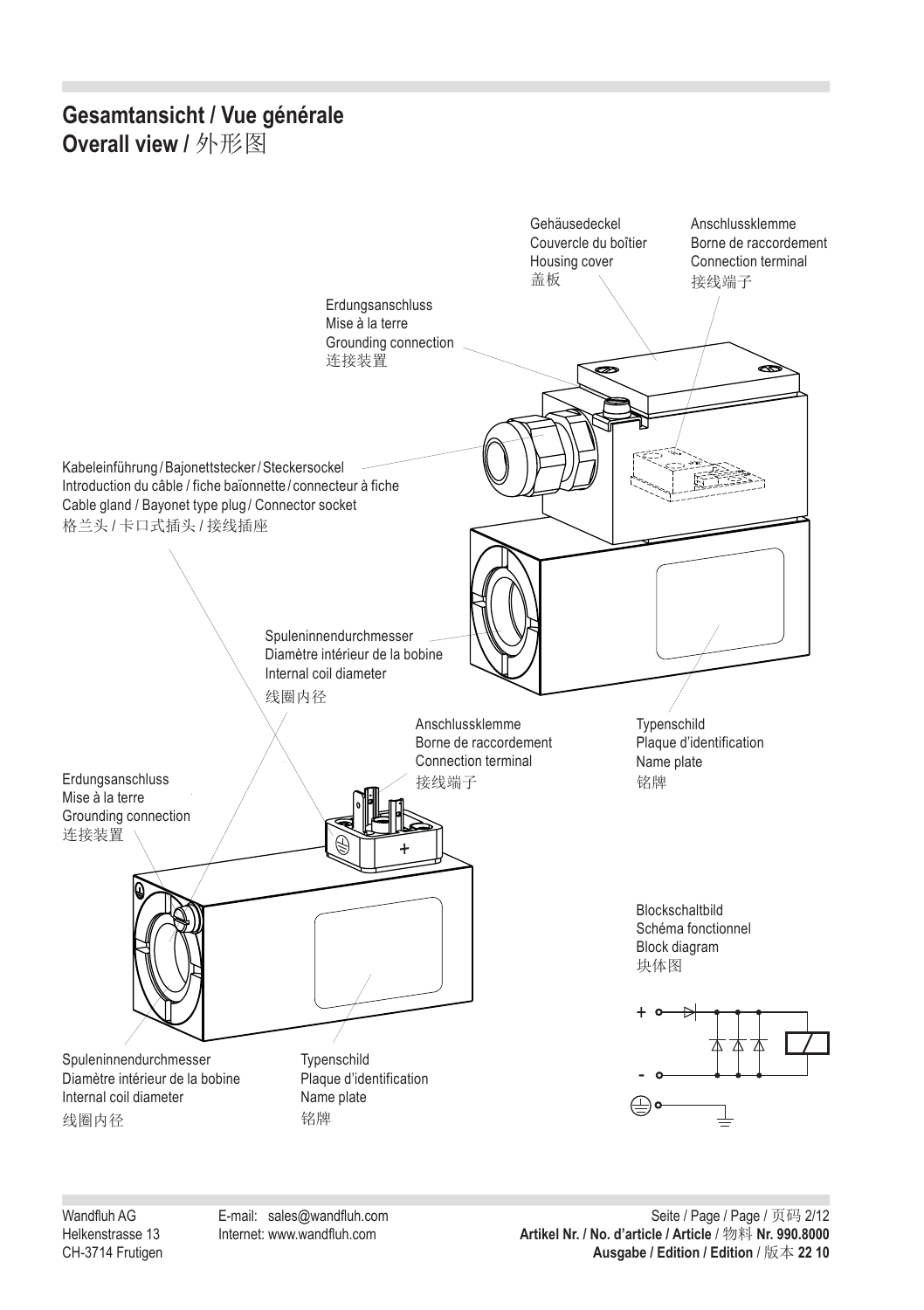# **Gesamtansicht / Vue générale**

**Overall view /** 外形图

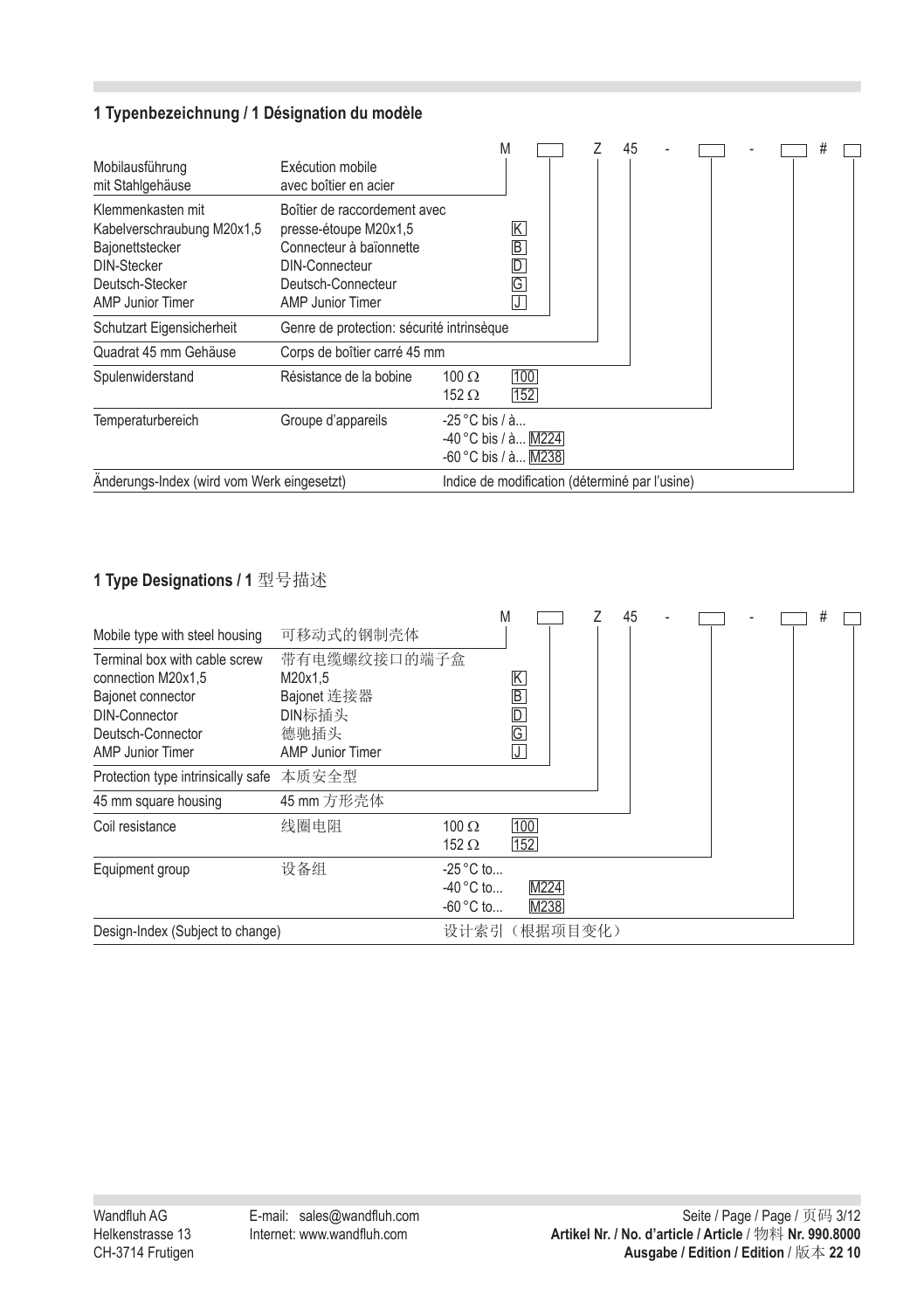# **1 Typenbezeichnung / 1 Désignation du modèle**

| Mobilausführung<br>mit Stahlgehäuse                                                                                                    | Exécution mobile<br>avec boîtier en acier                                                                                                                  |                                                                       | M                                                        |  | 45 |  |  | # |  |
|----------------------------------------------------------------------------------------------------------------------------------------|------------------------------------------------------------------------------------------------------------------------------------------------------------|-----------------------------------------------------------------------|----------------------------------------------------------|--|----|--|--|---|--|
| Klemmenkasten mit<br>Kabelverschraubung M20x1,5<br>Bajonettstecker<br><b>DIN-Stecker</b><br>Deutsch-Stecker<br><b>AMP Junior Timer</b> | Boîtier de raccordement avec<br>presse-étoupe M20x1,5<br>Connecteur à baïonnette<br><b>DIN-Connecteur</b><br>Deutsch-Connecteur<br><b>AMP Junior Timer</b> |                                                                       | K<br>$\mathbb{\overline{B}}$<br>$\overline{D}$<br>G<br>ℾ |  |    |  |  |   |  |
| Schutzart Eigensicherheit                                                                                                              | Genre de protection: sécurité intrinsèque                                                                                                                  |                                                                       |                                                          |  |    |  |  |   |  |
| Quadrat 45 mm Gehäuse                                                                                                                  | Corps de boîtier carré 45 mm                                                                                                                               |                                                                       |                                                          |  |    |  |  |   |  |
| Spulenwiderstand                                                                                                                       | Résistance de la bobine                                                                                                                                    | $100 \Omega$<br>$152 \Omega$                                          | [100]<br>152                                             |  |    |  |  |   |  |
| Temperaturbereich                                                                                                                      | Groupe d'appareils                                                                                                                                         | $-25^{\circ}$ C bis / à<br>-40 °C bis / à M224<br>-60 °C bis / à M238 |                                                          |  |    |  |  |   |  |
| Anderungs-Index (wird vom Werk eingesetzt)                                                                                             |                                                                                                                                                            | Indice de modification (déterminé par l'usine)                        |                                                          |  |    |  |  |   |  |

# **1 Type Designations / 1** 型号描述

|                                                                                                                                           |                                                                                     |                                                               | M                                                                 |              |          | 45 |  |  | # |  |
|-------------------------------------------------------------------------------------------------------------------------------------------|-------------------------------------------------------------------------------------|---------------------------------------------------------------|-------------------------------------------------------------------|--------------|----------|----|--|--|---|--|
| Mobile type with steel housing                                                                                                            | 可移动式的钢制壳体                                                                           |                                                               |                                                                   |              |          |    |  |  |   |  |
| Terminal box with cable screw<br>connection M20x1.5<br>Bajonet connector<br>DIN-Connector<br>Deutsch-Connector<br><b>AMP Junior Timer</b> | 带有电缆螺纹接口的端子盒<br>M20x1.5<br>Bajonet 连接器<br>DIN标插头<br>德驰插头<br><b>AMP Junior Timer</b> |                                                               | K<br>$\overline{\mathsf{B}}$<br>$\overline{\mathsf{D}}$<br>G<br>ℾ |              |          |    |  |  |   |  |
| Protection type intrinsically safe 本质安全型                                                                                                  |                                                                                     |                                                               |                                                                   |              |          |    |  |  |   |  |
| 45 mm square housing                                                                                                                      | 45 mm 方形壳体                                                                          |                                                               |                                                                   |              |          |    |  |  |   |  |
| Coil resistance                                                                                                                           | 线圈电阻                                                                                | $100 \Omega$<br>152 $\Omega$                                  | [100]<br>152                                                      |              |          |    |  |  |   |  |
| Equipment group                                                                                                                           | 设备组                                                                                 | $-25^{\circ}$ C to<br>$-40\degree$ C to<br>$-60^{\circ}$ C to |                                                                   | M224<br>M238 |          |    |  |  |   |  |
| Design-Index (Subject to change)                                                                                                          |                                                                                     | 设计索引                                                          |                                                                   |              | (根据项目变化) |    |  |  |   |  |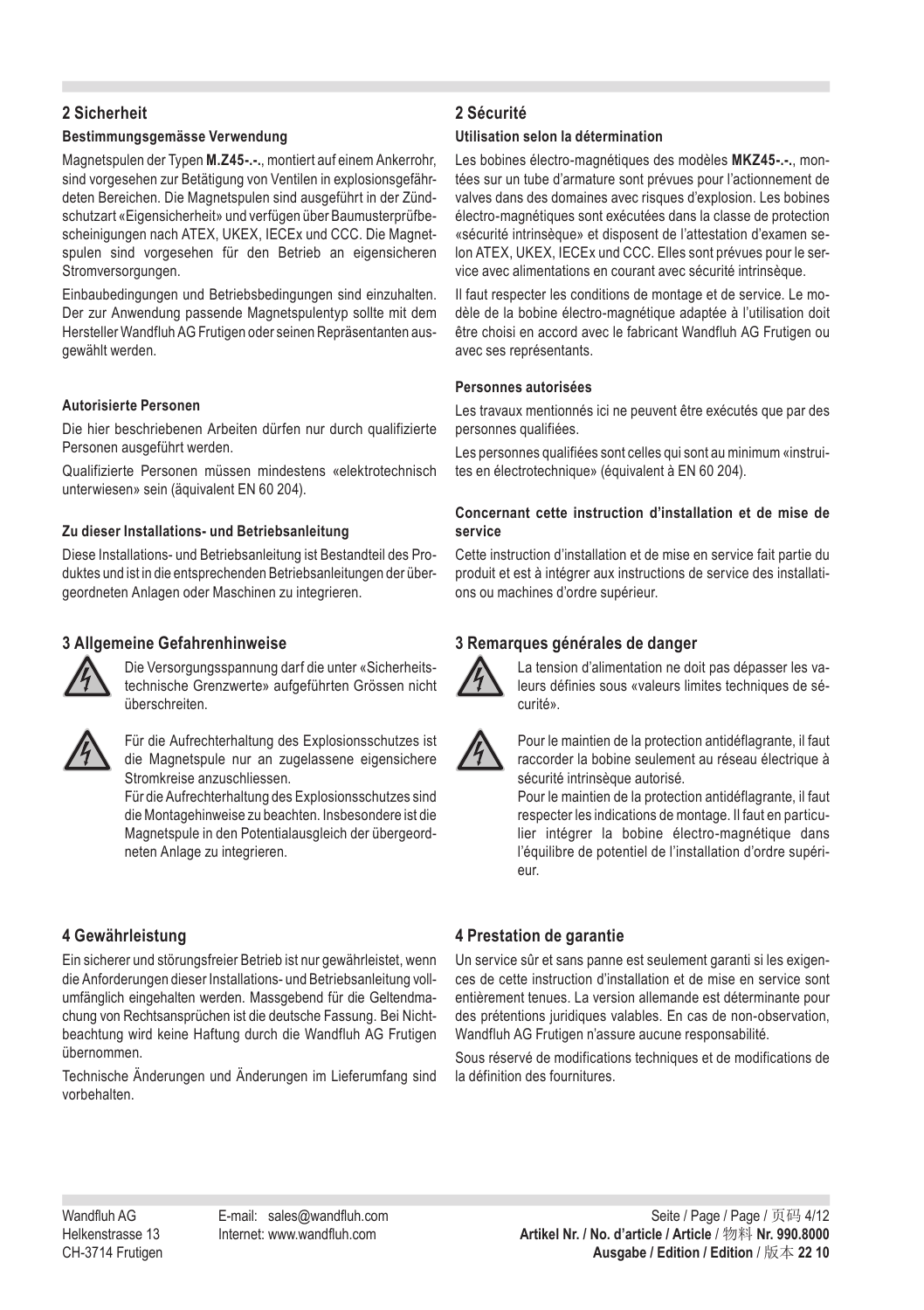# **2 Sicherheit**

#### **Bestimmungsgemässe Verwendung**

Magnetspulen der Typen **M.Z45-.-.**, montiert auf einem Ankerrohr, sind vorgesehen zur Betätigung von Ventilen in explosionsgefährdeten Bereichen. Die Magnetspulen sind ausgeführt in der Zündschutzart «Eigensicherheit» und verfügen über Baumusterprüfbescheinigungen nach ATEX, UKEX, IECEx und CCC. Die Magnetspulen sind vorgesehen für den Betrieb an eigensicheren Stromversorgungen.

Einbaubedingungen und Betriebsbedingungen sind einzuhalten. Der zur Anwendung passende Magnetspulentyp sollte mit dem Hersteller Wandfluh AG Frutigen oder seinen Repräsentanten ausgewählt werden.

# **Autorisierte Personen**

Die hier beschriebenen Arbeiten dürfen nur durch qualifizierte Personen ausgeführt werden.

Qualifizierte Personen müssen mindestens «elektrotechnisch unterwiesen» sein (äquivalent EN 60 204).

#### **Zu dieser Installations- und Betriebsanleitung**

Diese Installations- und Betriebsanleitung ist Bestandteil des Produktes und ist in die entsprechenden Betriebsanleitungen der übergeordneten Anlagen oder Maschinen zu integrieren.

# **3 Allgemeine Gefahrenhinweise**



Die Versorgungsspannung darf die unter «Sicherheitstechnische Grenzwerte» aufgeführten Grössen nicht überschreiten.



Für die Aufrechterhaltung des Explosionsschutzes ist die Magnetspule nur an zugelassene eigensichere Stromkreise anzuschliessen.

Für die Aufrechterhaltung des Explosionsschutzes sind die Montagehinweise zu beachten. Insbesondere ist die Magnetspule in den Potentialausgleich der übergeordneten Anlage zu integrieren.

# **4 Gewährleistung**

Ein sicherer und störungsfreier Betrieb ist nur gewährleistet, wenn die Anforderungen dieser Installations- und Betriebsanleitung vollumfänglich eingehalten werden. Massgebend für die Geltendmachung von Rechtsansprüchen ist die deutsche Fassung. Bei Nichtbeachtung wird keine Haftung durch die Wandfluh AG Frutigen übernommen.

Technische Änderungen und Änderungen im Lieferumfang sind vorbehalten.

# **2 Sécurité**

#### **Utilisation selon la détermination**

Les bobines électro-magnétiques des modèles **MKZ45-.-.**, montées sur un tube d'armature sont prévues pour l'actionnement de valves dans des domaines avec risques d'explosion. Les bobines électro-magnétiques sont exécutées dans la classe de protection «sécurité intrinsèque» et disposent de l'attestation d'examen selon ATEX, UKEX, IECEx und CCC. Elles sont prévues pour le service avec alimentations en courant avec sécurité intrinsèque.

Il faut respecter les conditions de montage et de service. Le modèle de la bobine électro-magnétique adaptée à l'utilisation doit être choisi en accord avec le fabricant Wandfluh AG Frutigen ou avec ses représentants.

#### **Personnes autorisées**

Les travaux mentionnés ici ne peuvent être exécutés que par des personnes qualifiées.

Les personnes qualifiées sont celles qui sont au minimum «instruites en électrotechnique» (équivalent à EN 60 204).

#### **Concernant cette instruction d'installation et de mise de service**

Cette instruction d'installation et de mise en service fait partie du produit et est à intégrer aux instructions de service des installations ou machines d'ordre supérieur.

# **3 Remarques générales de danger**



La tension d'alimentation ne doit pas dépasser les valeurs définies sous «valeurs limites techniques de sécurité».



Pour le maintien de la protection antidéflagrante, il faut raccorder la bobine seulement au réseau électrique à sécurité intrinsèque autorisé.

Pour le maintien de la protection antidéflagrante, il faut respecter les indications de montage. Il faut en particulier intégrer la bobine électro-magnétique dans l'équilibre de potentiel de l'installation d'ordre supérieur.

# **4 Prestation de garantie**

Un service sûr et sans panne est seulement garanti si les exigences de cette instruction d'installation et de mise en service sont entièrement tenues. La version allemande est déterminante pour des prétentions juridiques valables. En cas de non-observation, Wandfluh AG Frutigen n'assure aucune responsabilité.

Sous réservé de modifications techniques et de modifications de la définition des fournitures.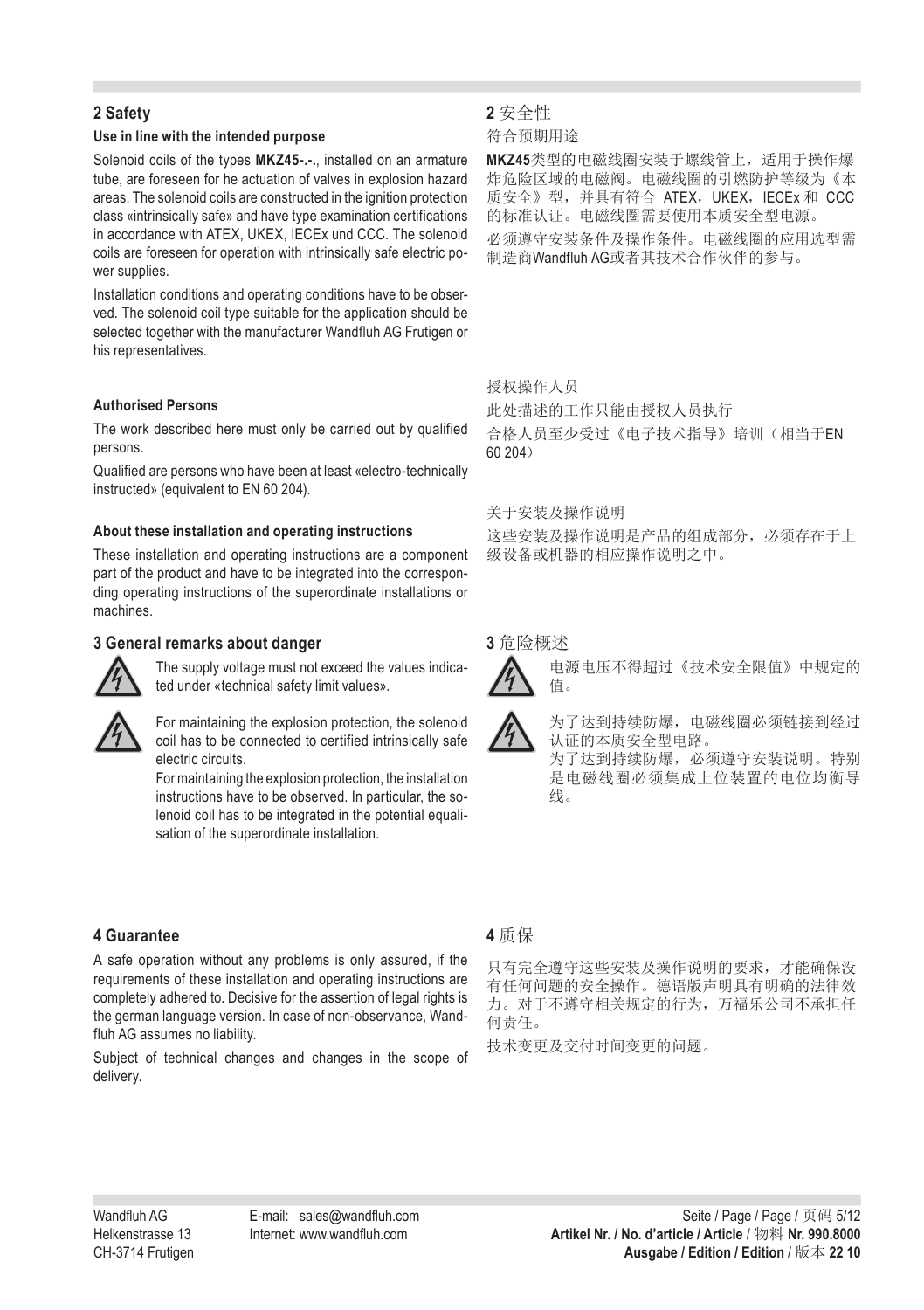# **2 Safety**

#### **Use in line with the intended purpose**

Solenoid coils of the types **MKZ45-.-.**, installed on an armature tube, are foreseen for he actuation of valves in explosion hazard areas. The solenoid coils are constructed in the ignition protection class «intrinsically safe» and have type examination certifications in accordance with ATEX, UKEX, IECEx und CCC. The solenoid coils are foreseen for operation with intrinsically safe electric power supplies.

Installation conditions and operating conditions have to be observed. The solenoid coil type suitable for the application should be selected together with the manufacturer Wandfluh AG Frutigen or his representatives.

#### **Authorised Persons**

The work described here must only be carried out by qualified persons.

Qualified are persons who have been at least «electro-technically instructed» (equivalent to EN 60 204).

#### **About these installation and operating instructions**

These installation and operating instructions are a component part of the product and have to be integrated into the corresponding operating instructions of the superordinate installations or machines.

# **3 General remarks about danger**



The supply voltage must not exceed the values indicated under «technical safety limit values».



For maintaining the explosion protection, the solenoid coil has to be connected to certified intrinsically safe electric circuits.

For maintaining the explosion protection, the installation instructions have to be observed. In particular, the solenoid coil has to be integrated in the potential equalisation of the superordinate installation.

# **4 Guarantee**

A safe operation without any problems is only assured, if the requirements of these installation and operating instructions are completely adhered to. Decisive for the assertion of legal rights is the german language version. In case of non-observance, Wandfluh AG assumes no liability.

Subject of technical changes and changes in the scope of delivery.

# **2** 安全性

符合预期用途

**MKZ45**类型的电磁线圈安装于螺线管上,适用于操作爆 炸危险区域的电磁阀。电磁线圈的引燃防护等级为《本 质安全》型,并具有符合 ATEX, UKEX, IECEx 和 CCC 的标准认证。电磁线圈需要使用本质安全型电源。 必须遵守安装条件及操作条件。电磁线圈的应用选型需 制造商Wandfluh AG或者其技术合作伙伴的参与。

授权操作人员 此处描述的工作只能由授权人员执行 合格人员至少受过《电子技术指导》培训(相当于EN 60 204)

关于安装及操作说明

这些安装及操作说明是产品的组成部分,必须存在于上 级设备或机器的相应操作说明之中。

# **3** 危险概述

电源电压不得超过《技术安全限值》中规定的 值。



为了达到持续防爆,电磁线圈必须链接到经过 认证的本质安全型电路。

为了达到持续防爆,必须遵守安装说明。特别 是电磁线圈必须集成上位装置的电位均衡导 线。

# **4** 质保

只有完全遵守这些安装及操作说明的要求,才能确保没 有任何问题的安全操作。德语版声明具有明确的法律效 力。对于不遵守相关规定的行为,万福乐公司不承担任 何责任。

技术变更及交付时间变更的问题。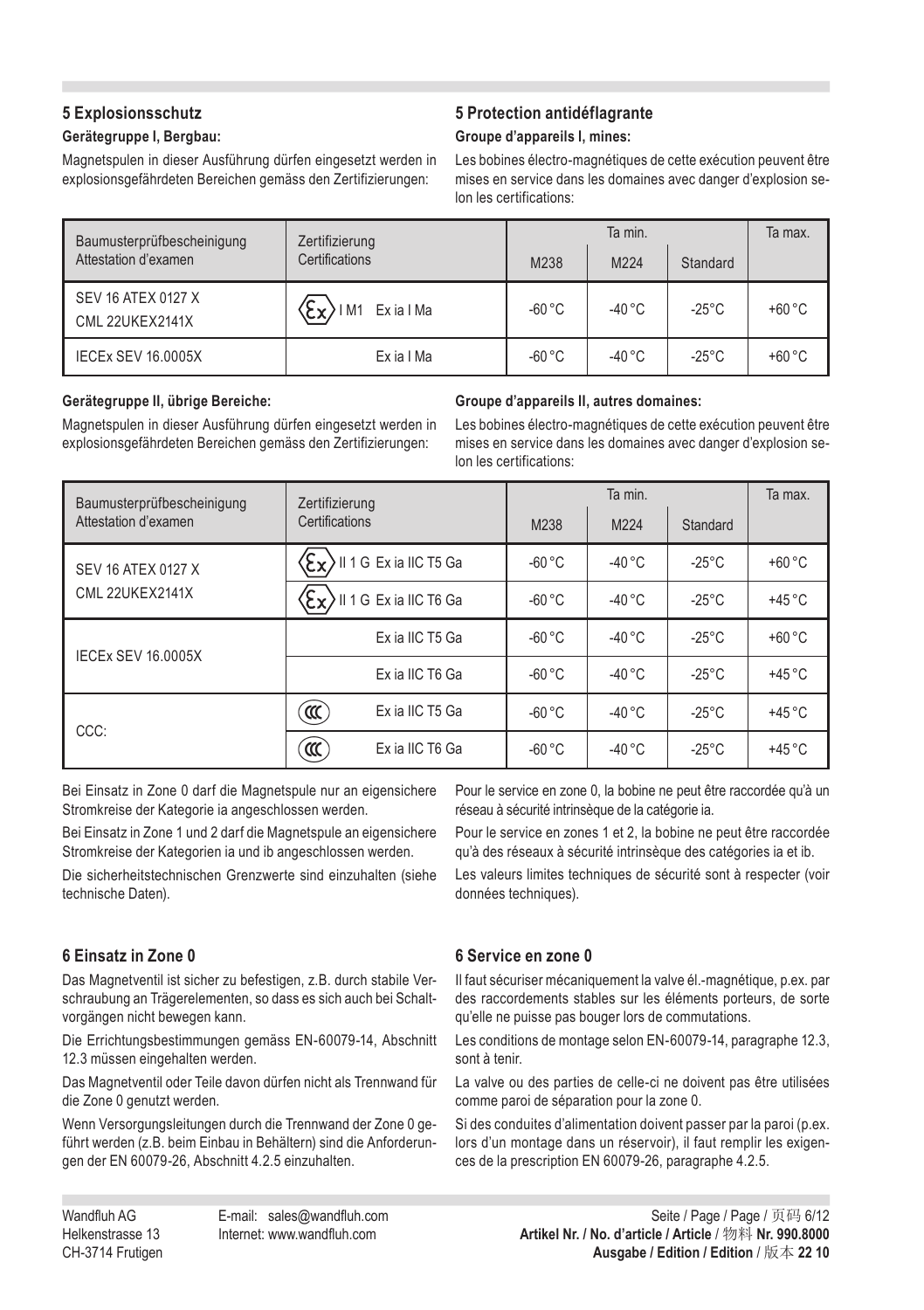# **5 Explosionsschutz**

### **Gerätegruppe I, Bergbau:**

Magnetspulen in dieser Ausführung dürfen eingesetzt werden in explosionsgefährdeten Bereichen gemäss den Zertifizierungen:

# **5 Protection antidéflagrante**

#### **Groupe d'appareils I, mines:**

Les bobines électro-magnétiques de cette exécution peuvent être mises en service dans les domaines avec danger d'explosion selon les certifications:

| Baumusterprüfbescheinigung            | Zertifizierung                            |          | Ta max.         |                 |          |
|---------------------------------------|-------------------------------------------|----------|-----------------|-----------------|----------|
| Attestation d'examen                  | Certifications                            | M238     | M224            | Standard        |          |
| SEV 16 ATEX 0127 X<br>CML 22UKEX2141X | $\langle \xi \chi \rangle$   M1 Exia   Ma | $-60 °C$ | $-40^{\circ}$ C | $-25^{\circ}$ C | $+60 °C$ |
| <b>IECEX SEV 16.0005X</b>             | Ex ia I Ma                                | $-60 °C$ | $-40 °C$        | $-25^{\circ}$ C | $+60 °C$ |

#### **Gerätegruppe II, übrige Bereiche:**

Magnetspulen in dieser Ausführung dürfen eingesetzt werden in explosionsgefährdeten Bereichen gemäss den Zertifizierungen:

Les bobines électro-magnétiques de cette exécution peuvent être mises en service dans les domaines avec danger d'explosion selon les certifications:

**Groupe d'appareils II, autres domaines:**

| Baumusterprüfbescheinigung | Zertifizierung                                                    |          | Ta max.         |                 |                 |
|----------------------------|-------------------------------------------------------------------|----------|-----------------|-----------------|-----------------|
| Attestation d'examen       | Certifications                                                    |          | M224            | Standard        |                 |
| SEV 16 ATEX 0127 X         | II 1 G Ex ia IIC T5 Ga<br>.≿x                                     | $-60 °C$ | $-40^{\circ}$ C | $-25^{\circ}$ C | $+60 °C$        |
| CML 22UKEX2141X            | $\langle \epsilon_{\mathsf{x}} \rangle$<br>II 1 G Ex ia IIC T6 Ga | $-60 °C$ | $-40^{\circ}$ C | $-25^{\circ}$ C | $+45^{\circ}$ C |
| <b>IECEx SEV 16.0005X</b>  | Ex ia IIC T5 Ga                                                   | $-60 °C$ | $-40^{\circ}$ C | $-25^{\circ}$ C | $+60 °C$        |
|                            | Ex ia IIC T6 Ga                                                   | $-60 °C$ | $-40\degree C$  | $-25^{\circ}$ C | $+45^{\circ}$ C |
| CCC:                       | OC)<br>Ex ia IIC T5 Ga                                            | $-60 °C$ | $-40^{\circ}$ C | $-25^{\circ}$ C | $+45^{\circ}$ C |
|                            | $(\alpha)$<br>Ex ia IIC T6 Ga                                     | $-60 °C$ | $-40^{\circ}$ C | $-25^{\circ}$ C | $+45^{\circ}$ C |

Bei Einsatz in Zone 0 darf die Magnetspule nur an eigensichere Stromkreise der Kategorie ia angeschlossen werden.

Bei Einsatz in Zone 1 und 2 darf die Magnetspule an eigensichere Stromkreise der Kategorien ia und ib angeschlossen werden.

Die sicherheitstechnischen Grenzwerte sind einzuhalten (siehe technische Daten).

# **6 Einsatz in Zone 0**

Das Magnetventil ist sicher zu befestigen, z.B. durch stabile Verschraubung an Trägerelementen, so dass es sich auch bei Schaltvorgängen nicht bewegen kann.

Die Errichtungsbestimmungen gemäss EN-60079-14, Abschnitt 12.3 müssen eingehalten werden.

Das Magnetventil oder Teile davon dürfen nicht als Trennwand für die Zone 0 genutzt werden.

Wenn Versorgungsleitungen durch die Trennwand der Zone 0 geführt werden (z.B. beim Einbau in Behältern) sind die Anforderungen der EN 60079-26, Abschnitt 4.2.5 einzuhalten.

Pour le service en zone 0, la bobine ne peut être raccordée qu'à un réseau à sécurité intrinsèque de la catégorie ia.

Pour le service en zones 1 et 2, la bobine ne peut être raccordée qu'à des réseaux à sécurité intrinsèque des catégories ia et ib.

Les valeurs limites techniques de sécurité sont à respecter (voir données techniques).

# **6 Service en zone 0**

Il faut sécuriser mécaniquement la valve él.-magnétique, p.ex. par des raccordements stables sur les éléments porteurs, de sorte qu'elle ne puisse pas bouger lors de commutations.

Les conditions de montage selon EN-60079-14, paragraphe 12.3, sont à tenir.

La valve ou des parties de celle-ci ne doivent pas être utilisées comme paroi de séparation pour la zone 0.

Si des conduites d'alimentation doivent passer par la paroi (p.ex. lors d'un montage dans un réservoir), il faut remplir les exigences de la prescription EN 60079-26, paragraphe 4.2.5.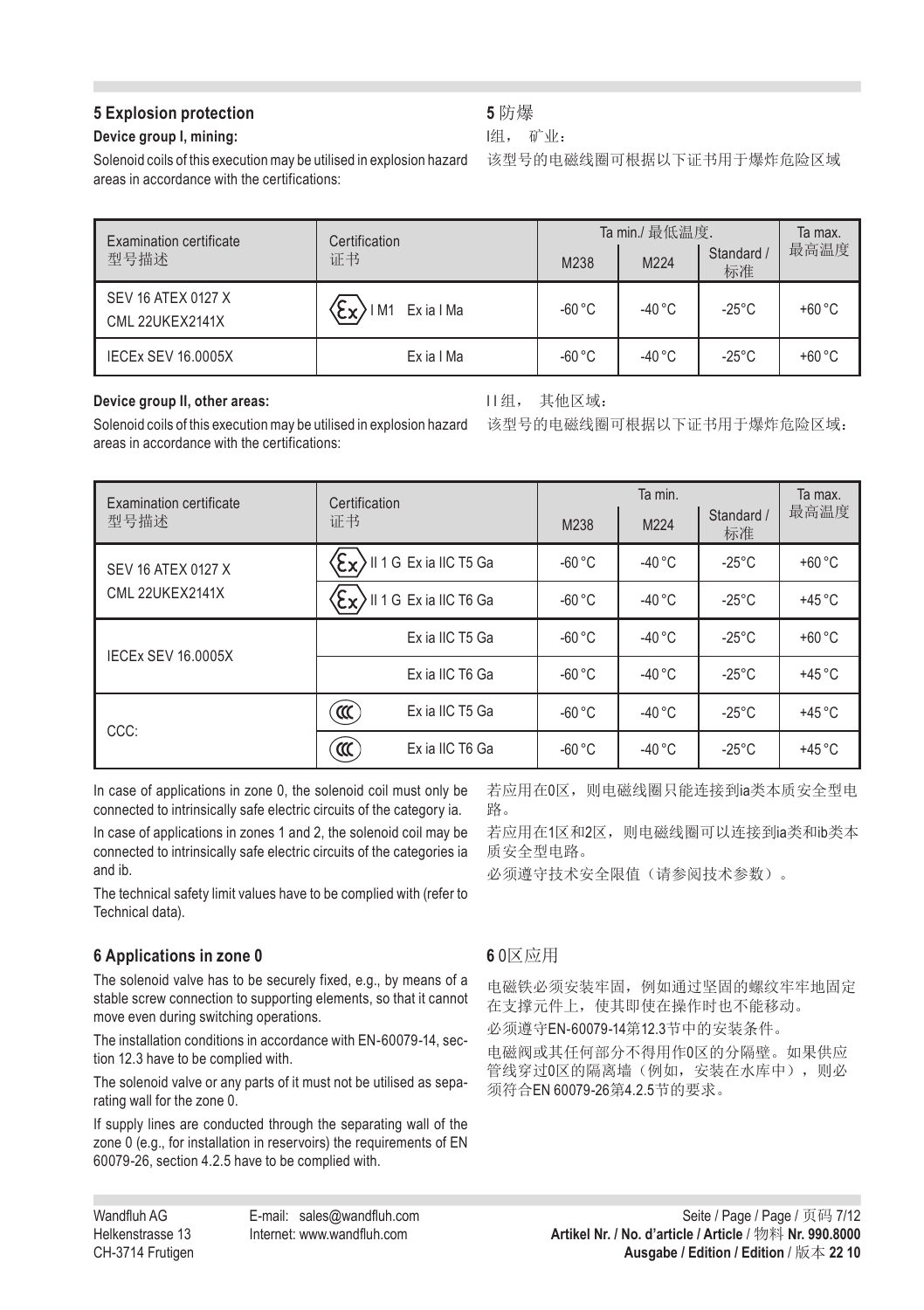# **5 Explosion protection**

### **Device group I, mining:**

# **5** 防爆

I组, 矿业:

Solenoid coils of this execution may be utilised in explosion hazard areas in accordance with the certifications:

该型号的电磁线圈可根据以下证书用于爆炸危险区域

| <b>Examination certificate</b>        | Certification      | Ta min./ 最低温度. | Ta max.         |                  |          |
|---------------------------------------|--------------------|----------------|-----------------|------------------|----------|
| 型号描述                                  | 证书                 | M238           | M224            | Standard /<br>标准 | 最高温度     |
| SEV 16 ATEX 0127 X<br>CML 22UKEX2141X | Ex ia I Ma<br>1 M1 | $-60 °C$       | -40 °C          | $-25^{\circ}$ C  | $+60 °C$ |
| <b>IECEx SEV 16.0005X</b>             | Ex ia I Ma         | $-60 °C$       | $-40^{\circ}$ C | $-25^{\circ}$ C  | $+60 °C$ |

#### **Device group II, other areas:**

I I 组, 其他区域:

Solenoid coils of this execution may be utilised in explosion hazard areas in accordance with the certifications:

该型号的电磁线圈可根据以下证书用于爆炸危险区域:

| Examination certificate               | Certification                                                           |          | Ta max.         |                  |                 |
|---------------------------------------|-------------------------------------------------------------------------|----------|-----------------|------------------|-----------------|
| 型号描述                                  | 证书                                                                      | M238     | M224            | Standard /<br>标准 | 最高温度            |
| SEV 16 ATEX 0127 X<br>CML 22UKEX2141X | Έχ<br>II 1 G Ex ia IIC T5 Ga                                            | $-60 °C$ | $-40 °C$        | $-25^{\circ}$ C  | $+60 °C$        |
|                                       | $\langle \! \! \epsilon_{\mathsf{x}} \rangle$<br>II 1 G Ex ia IIC T6 Ga | $-60 °C$ | $-40 °C$        | $-25^{\circ}$ C  | $+45^{\circ}$ C |
| <b>IECEx SEV 16.0005X</b>             | Ex ia IIC T5 Ga                                                         | $-60 °C$ | $-40^{\circ}$ C | $-25^{\circ}$ C  | $+60^{\circ}$ C |
|                                       | Ex ia IIC T6 Ga                                                         | $-60 °C$ | $-40 °C$        | $-25^{\circ}$ C  | $+45^{\circ}$ C |
| CCC:                                  | O<br>Ex ia IIC T5 Ga                                                    | $-60 °C$ | $-40 °C$        | $-25^{\circ}$ C  | $+45^{\circ}$ C |
|                                       | O<br>Ex ia IIC T6 Ga                                                    | $-60 °C$ | $-40^{\circ}$ C | $-25^{\circ}$ C  | $+45^{\circ}$ C |

In case of applications in zone 0, the solenoid coil must only be connected to intrinsically safe electric circuits of the category ia.

In case of applications in zones 1 and 2, the solenoid coil may be connected to intrinsically safe electric circuits of the categories ia and ib.

The technical safety limit values have to be complied with (refer to Technical data).

# **6 Applications in zone 0**

The solenoid valve has to be securely fixed, e.g., by means of a stable screw connection to supporting elements, so that it cannot move even during switching operations.

The installation conditions in accordance with EN-60079-14, section 12.3 have to be complied with.

The solenoid valve or any parts of it must not be utilised as separating wall for the zone 0.

If supply lines are conducted through the separating wall of the zone 0 (e.g., for installation in reservoirs) the requirements of EN 60079-26, section 4.2.5 have to be complied with.

若应用在0区,则电磁线圈只能连接到ia类本质安全型电 路。

若应用在1区和2区,则电磁线圈可以连接到ia类和ib类本 质安全型电路。

必须遵守技术安全限值(请参阅技术参数)。

# **6** 0区应用

电磁铁必须安装牢固,例如通过坚固的螺纹牢牢地固定 在支撑元件上,使其即使在操作时也不能移动。 必须遵守EN-60079-14第12.3节中的安装条件。

电磁阀或其任何部分不得用作0区的分隔壁。如果供应 管线穿过0区的隔离墙(例如, 安装在水库中), 则必 须符合EN 60079-26第4.2.5节的要求。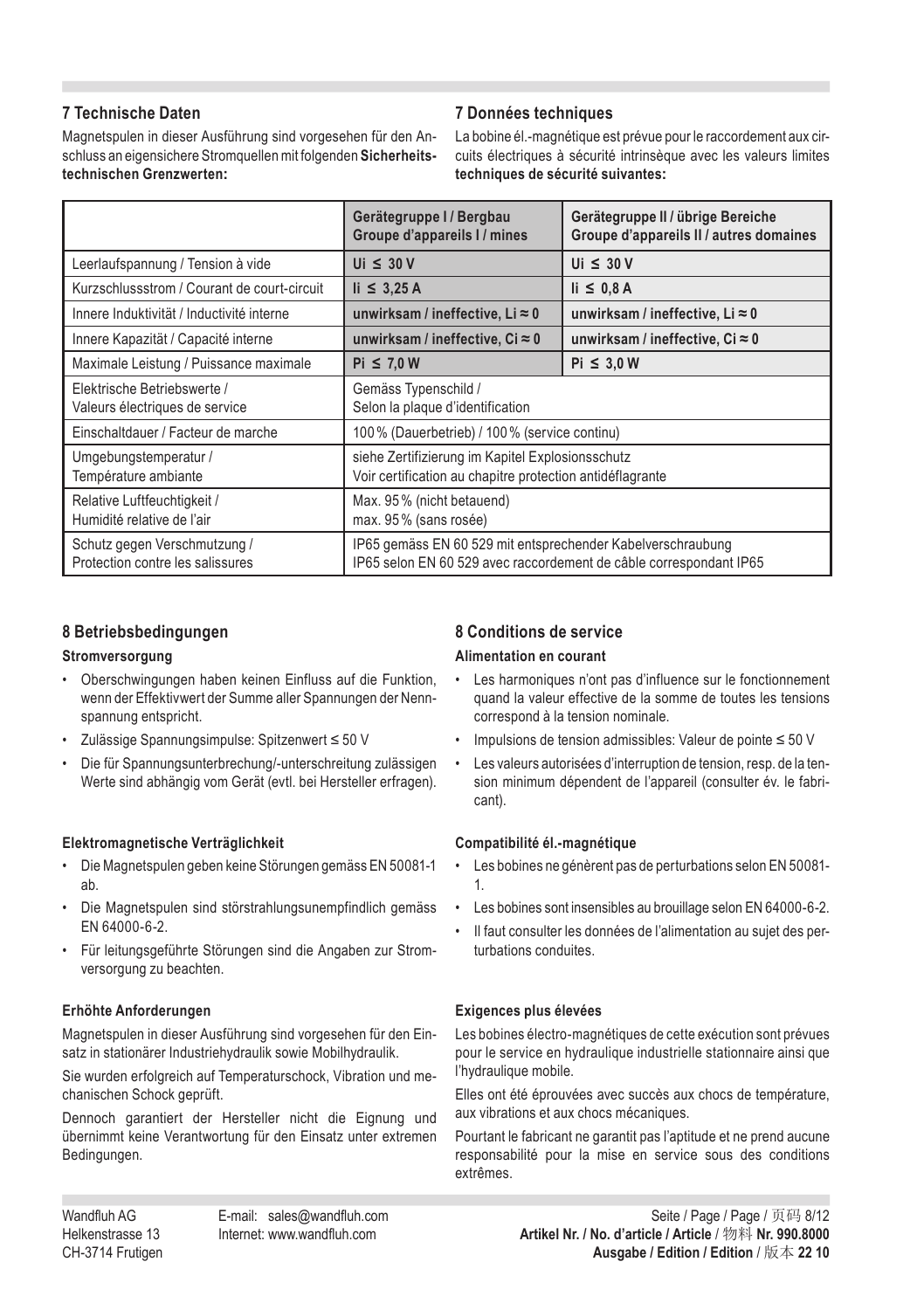# **7 Technische Daten**

Magnetspulen in dieser Ausführung sind vorgesehen für den Anschluss an eigensichere Stromquellen mit folgenden **Sicherheitstechnischen Grenzwerten:**

# **7 Données techniques**

La bobine él.-magnétique est prévue pour le raccordement aux circuits électriques à sécurité intrinsèque avec les valeurs limites **techniques de sécurité suivantes:**

|                                                                  | Gerätegruppe I / Bergbau<br>Groupe d'appareils I / mines                                                                          | Gerätegruppe II / übrige Bereiche<br>Groupe d'appareils II / autres domaines |  |  |  |
|------------------------------------------------------------------|-----------------------------------------------------------------------------------------------------------------------------------|------------------------------------------------------------------------------|--|--|--|
| Leerlaufspannung / Tension à vide                                | Ui $\leq 30$ V                                                                                                                    | Ui $\leq 30$ V                                                               |  |  |  |
| Kurzschlussstrom / Courant de court-circuit                      | $\text{li} \leq 3.25 \text{ A}$                                                                                                   | $\mathsf{li} \leq 0.8 \mathsf{A}$                                            |  |  |  |
| Innere Induktivität / Inductivité interne                        | unwirksam / ineffective, Li $\approx 0$                                                                                           | unwirksam / ineffective, Li $\approx$ 0                                      |  |  |  |
| Innere Kapazität / Capacité interne                              | unwirksam / ineffective, $Ci \approx 0$                                                                                           | unwirksam / ineffective, $Ci \approx 0$                                      |  |  |  |
| Maximale Leistung / Puissance maximale                           | $Pi \leq 7.0 W$                                                                                                                   | $Pi \leq 3.0 W$                                                              |  |  |  |
| Elektrische Betriebswerte /<br>Valeurs électriques de service    | Gemäss Typenschild /<br>Selon la plaque d'identification                                                                          |                                                                              |  |  |  |
| Einschaltdauer / Facteur de marche                               | 100% (Dauerbetrieb) / 100% (service continu)                                                                                      |                                                                              |  |  |  |
| Umgebungstemperatur /<br>Température ambiante                    | siehe Zertifizierung im Kapitel Explosionsschutz<br>Voir certification au chapitre protection antidéflagrante                     |                                                                              |  |  |  |
| Relative Luftfeuchtigkeit /<br>Humidité relative de l'air        | Max. 95% (nicht betauend)<br>max. 95% (sans rosée)                                                                                |                                                                              |  |  |  |
| Schutz gegen Verschmutzung /<br>Protection contre les salissures | IP65 gemäss EN 60 529 mit entsprechender Kabelverschraubung<br>IP65 selon EN 60 529 avec raccordement de câble correspondant IP65 |                                                                              |  |  |  |

# **8 Betriebsbedingungen**

### **Stromversorgung**

- Oberschwingungen haben keinen Einfluss auf die Funktion, wenn der Effektivwert der Summe aller Spannungen der Nennspannung entspricht.
- Zulässige Spannungsimpulse: Spitzenwert ≤ 50 V
- Die für Spannungsunterbrechung/-unterschreitung zulässigen Werte sind abhängig vom Gerät (evtl. bei Hersteller erfragen).

# **Elektromagnetische Verträglichkeit**

- Die Magnetspulen geben keine Störungen gemäss EN 50081-1 ab.
- Die Magnetspulen sind störstrahlungsunempfindlich gemäss EN 64000-6-2.
- Für leitungsgeführte Störungen sind die Angaben zur Stromversorgung zu beachten.

# **Erhöhte Anforderungen**

Magnetspulen in dieser Ausführung sind vorgesehen für den Einsatz in stationärer Industriehydraulik sowie Mobilhydraulik.

Sie wurden erfolgreich auf Temperaturschock, Vibration und mechanischen Schock geprüft.

Dennoch garantiert der Hersteller nicht die Eignung und übernimmt keine Verantwortung für den Einsatz unter extremen Bedingungen.

# **8 Conditions de service**

#### **Alimentation en courant**

- Les harmoniques n'ont pas d'influence sur le fonctionnement quand la valeur effective de la somme de toutes les tensions correspond à la tension nominale.
- Impulsions de tension admissibles: Valeur de pointe ≤ 50 V
- Les valeurs autorisées d'interruption de tension, resp. de la tension minimum dépendent de l'appareil (consulter év. le fabricant).

# **Compatibilité él.-magnétique**

- Les bobines ne génèrent pas de perturbations selon EN 50081- 1.
- Les bobines sont insensibles au brouillage selon EN 64000-6-2.
- Il faut consulter les données de l'alimentation au sujet des perturbations conduites.

# **Exigences plus élevées**

Les bobines électro-magnétiques de cette exécution sont prévues pour le service en hydraulique industrielle stationnaire ainsi que l'hydraulique mobile.

Elles ont été éprouvées avec succès aux chocs de température, aux vibrations et aux chocs mécaniques.

Pourtant le fabricant ne garantit pas l'aptitude et ne prend aucune responsabilité pour la mise en service sous des conditions extrêmes.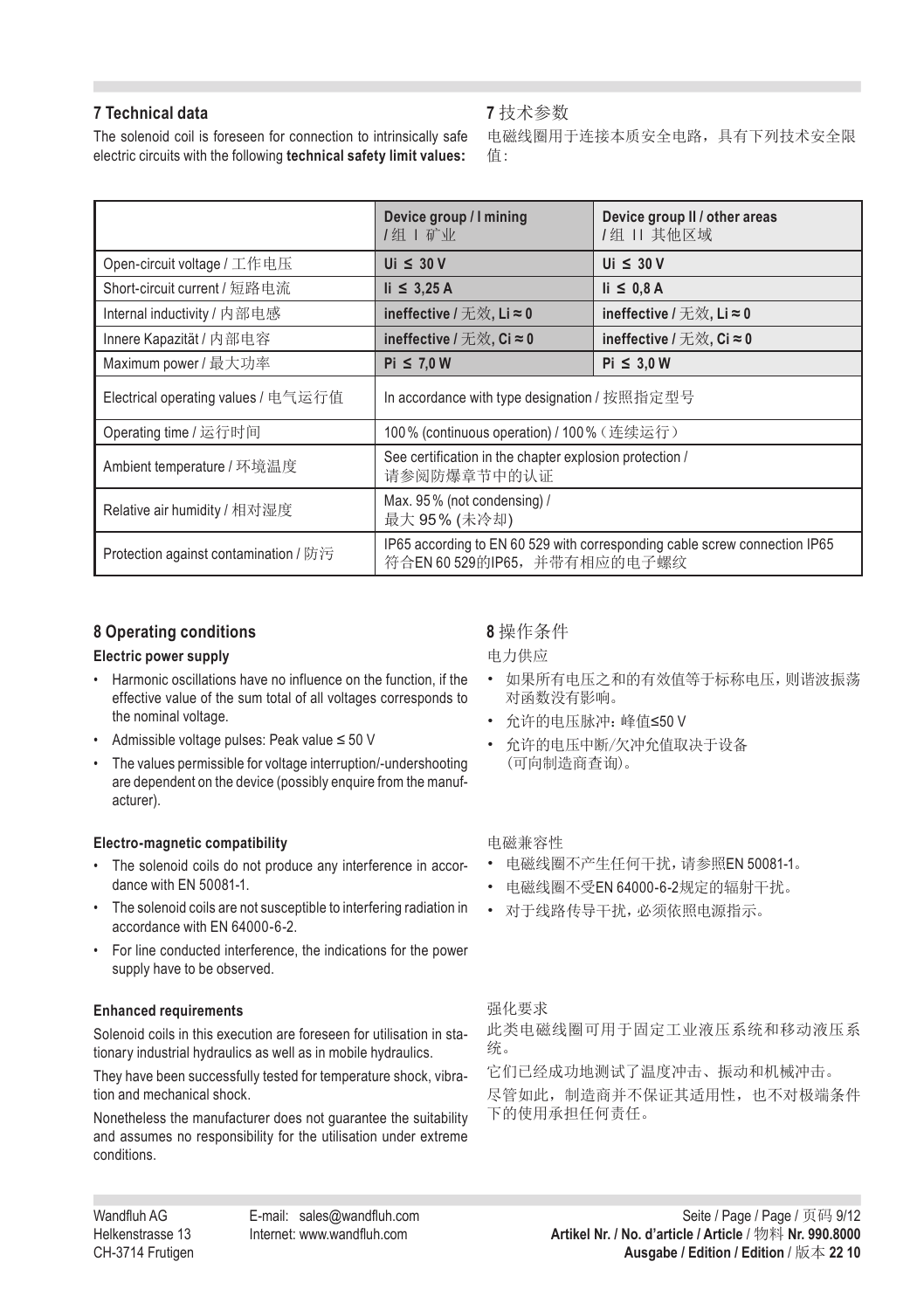# **7 Technical data**

The solenoid coil is foreseen for connection to intrinsically safe electric circuits with the following **technical safety limit values:**

# **7** 技术参数

电磁线圈用于连接本质安全电路,具有下列技术安全限 值:

|                                       | Device group / I mining<br>1组 1 矿业                                                                         | Device group II / other areas<br>/组 II 其他区域  |  |  |  |
|---------------------------------------|------------------------------------------------------------------------------------------------------------|----------------------------------------------|--|--|--|
| Open-circuit voltage / 工作电压           | Ui $\leq 30$ V                                                                                             | Ui $\leq 30$ V                               |  |  |  |
| Short-circuit current / 短路电流          | $\mathsf{li} \leq 3.25\,\mathsf{A}$                                                                        | $\mathsf{li} \leq 0.8 \mathsf{A}$            |  |  |  |
| Internal inductivity / 内部电感           | ineffective / 无效, Li ≈ 0                                                                                   | ineffective / 无效, Li ≈ 0                     |  |  |  |
| Innere Kapazität / 内部电容               | ineffective / $\pm \otimes$ , Ci $\approx$ 0                                                               | ineffective / $\pm \otimes$ , Ci $\approx$ 0 |  |  |  |
| Maximum power / 最大功率                  | $Pi \leq 7.0 W$                                                                                            | $Pi \leq 3.0 W$                              |  |  |  |
| Electrical operating values / 电气运行值   | In accordance with type designation / 按照指定型号                                                               |                                              |  |  |  |
| Operating time / 运行时间                 | 100% (continuous operation) / 100% (连续运行)                                                                  |                                              |  |  |  |
| Ambient temperature / 环境温度            | See certification in the chapter explosion protection /<br>请参阅防爆章节中的认证                                     |                                              |  |  |  |
| Relative air humidity / 相对湿度          | Max. 95% (not condensing) /<br>最大 95% (未冷却)                                                                |                                              |  |  |  |
| Protection against contamination / 防污 | IP65 according to EN 60 529 with corresponding cable screw connection IP65<br>符合EN 60 529的IP65, 并带有相应的电子螺纹 |                                              |  |  |  |

# **8 Operating conditions**

#### **Electric power supply**

- Harmonic oscillations have no influence on the function, if the effective value of the sum total of all voltages corresponds to the nominal voltage.
- Admissible voltage pulses: Peak value ≤ 50 V
- The values permissible for voltage interruption/-undershooting are dependent on the device (possibly enquire from the manufacturer).

#### **Electro-magnetic compatibility**

- The solenoid coils do not produce any interference in accordance with EN 50081-1.
- The solenoid coils are not susceptible to interfering radiation in accordance with EN 64000-6-2.
- For line conducted interference, the indications for the power supply have to be observed.

#### **Enhanced requirements**

Solenoid coils in this execution are foreseen for utilisation in stationary industrial hydraulics as well as in mobile hydraulics.

They have been successfully tested for temperature shock, vibration and mechanical shock.

Nonetheless the manufacturer does not guarantee the suitability and assumes no responsibility for the utilisation under extreme conditions.

# **8** 操作条件

#### 电力供应

- 如果所有电压之和的有效值等于标称电压,则谐波振荡 对函数没有影响。
- • 允许的电压脉冲:峰值≤50 V
- 允许的电压中断/欠冲允值取决于设备 (可向制造商查询)。

#### 电磁兼容性

- • 电磁线圈不产生任何干扰,请参照EN 50081-1。
- • 电磁线圈不受EN 64000-6-2规定的辐射干扰。
- • 对于线路传导干扰,必须依照电源指示。

#### 强化要求

此类电磁线圈可用于固定工业液压系统和移动液压系 统。

它们已经成功地测试了温度冲击、振动和机械冲击。

尽管如此,制造商并不保证其适用性,也不对极端条件 下的使用承担任何责任。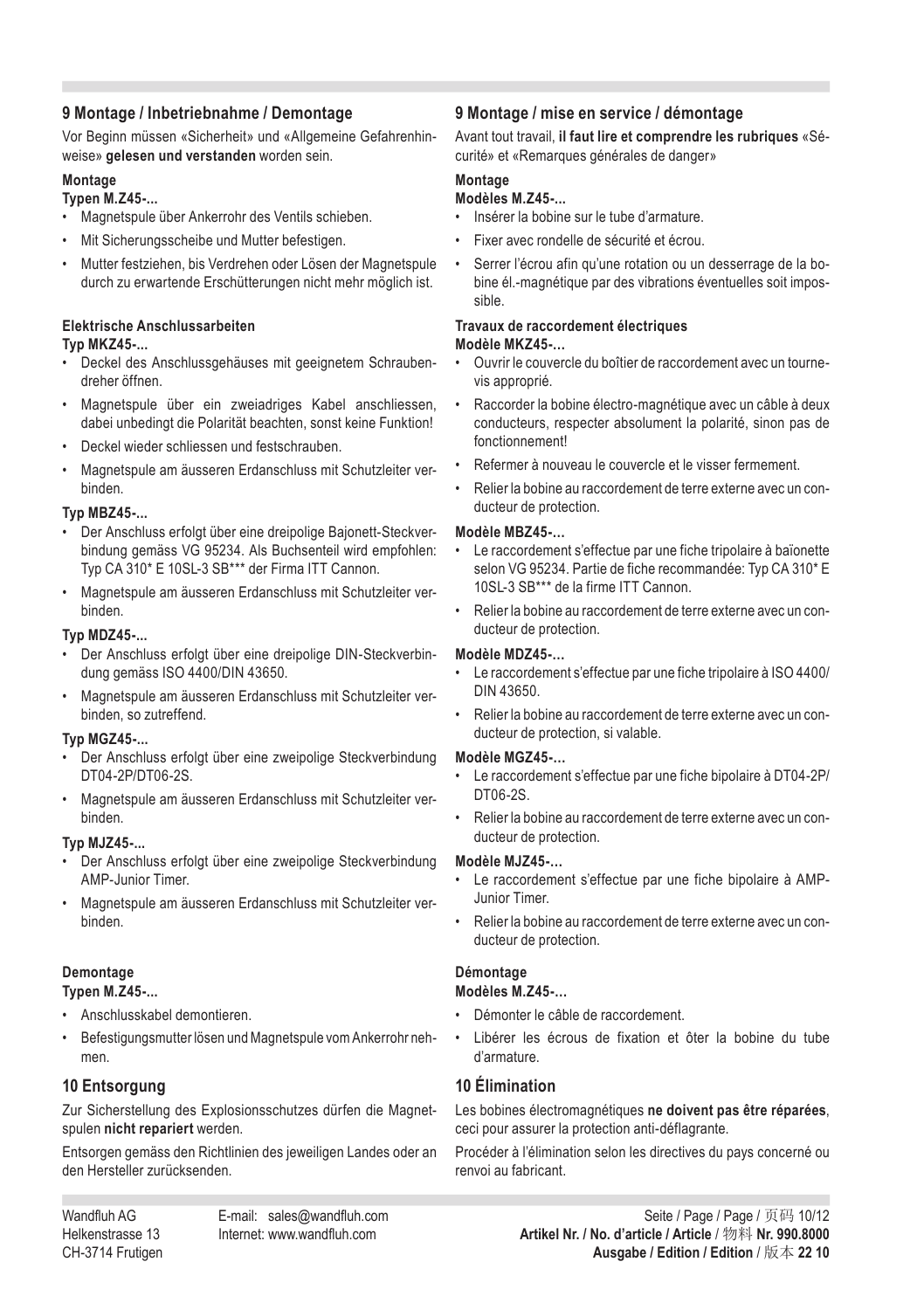# **9 Montage / Inbetriebnahme / Demontage**

#### Vor Beginn müssen «Sicherheit» und «Allgemeine Gefahrenhinweise» **gelesen und verstanden** worden sein.

#### **Montage**

# **Typen M.Z45-...**

- Magnetspule über Ankerrohr des Ventils schieben.
- Mit Sicherungsscheibe und Mutter befestigen.
- Mutter festziehen, bis Verdrehen oder Lösen der Magnetspule durch zu erwartende Erschütterungen nicht mehr möglich ist.

# **Elektrische Anschlussarbeiten**

# **Typ MKZ45-...**

- Deckel des Anschlussgehäuses mit geeignetem Schraubendreher öffnen.
- Magnetspule über ein zweiadriges Kabel anschliessen, dabei unbedingt die Polarität beachten, sonst keine Funktion!
- Deckel wieder schliessen und festschrauben.
- Magnetspule am äusseren Erdanschluss mit Schutzleiter verbinden.

# **Typ MBZ45-...**

- Der Anschluss erfolgt über eine dreipolige Bajonett-Steckverbindung gemäss VG 95234. Als Buchsenteil wird empfohlen: Typ CA 310\* E 10SL-3 SB\*\*\* der Firma ITT Cannon.
- Magnetspule am äusseren Erdanschluss mit Schutzleiter verbinden.

# **Typ MDZ45-...**

- Der Anschluss erfolgt über eine dreipolige DIN-Steckverbindung gemäss ISO 4400/DIN 43650.
- Magnetspule am äusseren Erdanschluss mit Schutzleiter verbinden, so zutreffend.

# **Typ MGZ45-...**

- Der Anschluss erfolgt über eine zweipolige Steckverbindung DT04-2P/DT06-2S.
- Magnetspule am äusseren Erdanschluss mit Schutzleiter verbinden.

# **Typ MJZ45-...**

- Der Anschluss erfolgt über eine zweipolige Steckverbindung AMP-Junior Timer.
- Magnetspule am äusseren Erdanschluss mit Schutzleiter verbinden.

# **Demontage**

### **Typen M.Z45-...**

- Anschlusskabel demontieren.
- Befestigungsmutter lösen und Magnetspule vom Ankerrohr nehmen.

# **10 Entsorgung**

Zur Sicherstellung des Explosionsschutzes dürfen die Magnetspulen **nicht repariert** werden.

Entsorgen gemäss den Richtlinien des jeweiligen Landes oder an den Hersteller zurücksenden.

# **9 Montage / mise en service / démontage**

Avant tout travail, **il faut lire et comprendre les rubriques** «Sécurité» et «Remarques générales de danger»

# **Montage**

# **Modèles M.Z45-...**

- Insérer la bobine sur le tube d'armature.
- Fixer avec rondelle de sécurité et écrou.
- Serrer l'écrou afin qu'une rotation ou un desserrage de la bobine él.-magnétique par des vibrations éventuelles soit impossible.

# **Travaux de raccordement électriques**

#### **Modèle MKZ45-…**

- Ouvrir le couvercle du boîtier de raccordement avec un tournevis approprié.
- Raccorder la bobine électro-magnétique avec un câble à deux conducteurs, respecter absolument la polarité, sinon pas de fonctionnement!
- Refermer à nouveau le couvercle et le visser fermement.
- Relier la bobine au raccordement de terre externe avec un conducteur de protection.

#### **Modèle MBZ45-…**

- Le raccordement s'effectue par une fiche tripolaire à baïonette selon VG 95234. Partie de fiche recommandée: Typ CA 310\* E 10SL-3 SB\*\*\* de la firme ITT Cannon.
- Relier la bobine au raccordement de terre externe avec un conducteur de protection.

#### **Modèle MDZ45-…**

- Le raccordement s'effectue par une fiche tripolaire à ISO 4400/ DIN 43650.
- Relier la bobine au raccordement de terre externe avec un conducteur de protection, si valable.

### **Modèle MGZ45-…**

- Le raccordement s'effectue par une fiche bipolaire à DT04-2P/ DT06-2S.
- Relier la bobine au raccordement de terre externe avec un conducteur de protection.

#### **Modèle MJZ45-…**

- Le raccordement s'effectue par une fiche bipolaire à AMP-Junior Timer.
- Relier la bobine au raccordement de terre externe avec un conducteur de protection.

# **Démontage**

# **Modèles M.Z45-…**

- Démonter le câble de raccordement.
- Libérer les écrous de fixation et ôter la bobine du tube d'armature.

# **10 Élimination**

Les bobines électromagnétiques **ne doivent pas être réparées**, ceci pour assurer la protection anti-déflagrante.

Procéder à l'élimination selon les directives du pays concerné ou renvoi au fabricant.

Wandfluh AG **E-mail:** sales@wandfluh.com **Seite / Page / Page / 页码 10/12** Nandfluh AG 30/12 Helkenstrasse 13 Internet: www.wandfluh.com **Artikel Nr. / No. d'article / Article** / 物料 **Nr. 990.8000** CH-3714 Frutigen **Ausgabe / Edition / Edition** / 版本 **22 10**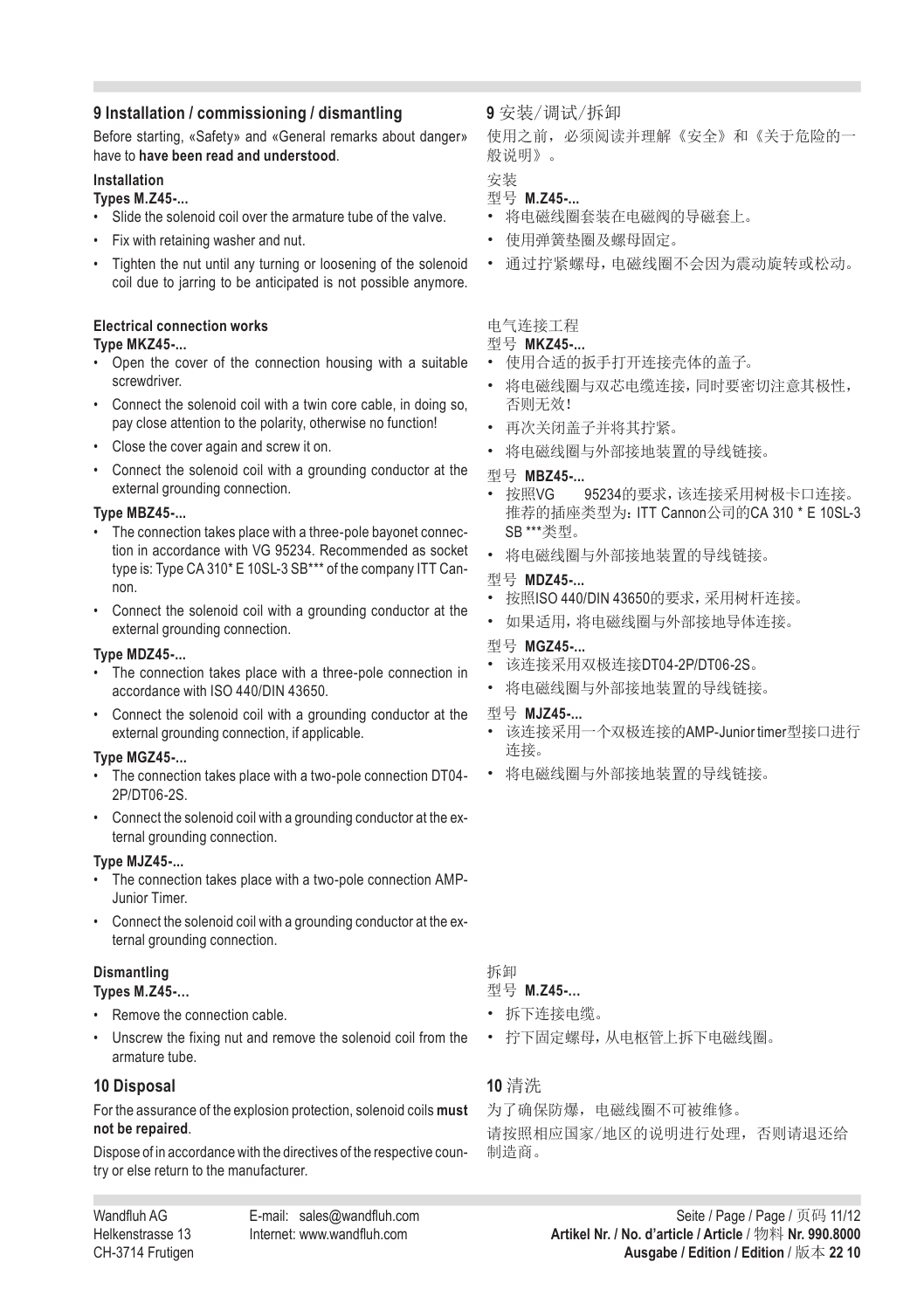# **9 Installation / commissioning / dismantling**

#### Before starting, «Safety» and «General remarks about danger» have to **have been read and understood**.

#### **Installation**

# **Types M.Z45-...**

- Slide the solenoid coil over the armature tube of the valve.
- Fix with retaining washer and nut.
- Tighten the nut until any turning or loosening of the solenoid coil due to jarring to be anticipated is not possible anymore.

#### **Electrical connection works Type MKZ45-...**

- Open the cover of the connection housing with a suitable screwdriver.
- Connect the solenoid coil with a twin core cable, in doing so, pay close attention to the polarity, otherwise no function!
- Close the cover again and screw it on.
- Connect the solenoid coil with a grounding conductor at the external grounding connection.

#### **Type MBZ45-...**

- The connection takes place with a three-pole bayonet connection in accordance with VG 95234. Recommended as socket type is: Type CA 310\* E 10SL-3 SB\*\*\* of the company ITT Cannon.
- Connect the solenoid coil with a grounding conductor at the external grounding connection.

#### **Type MDZ45-...**

- The connection takes place with a three-pole connection in accordance with ISO 440/DIN 43650.
- Connect the solenoid coil with a grounding conductor at the external grounding connection, if applicable.

#### **Type MGZ45-...**

- The connection takes place with a two-pole connection DT04- 2P/DT06-2S.
- Connect the solenoid coil with a grounding conductor at the external grounding connection.

# **Type MJZ45-...**

- The connection takes place with a two-pole connection AMP-Junior Timer.
- Connect the solenoid coil with a grounding conductor at the external grounding connection.

# **Dismantling**

# **Types M.Z45-…**

- Remove the connection cable
- Unscrew the fixing nut and remove the solenoid coil from the armature tube.

# **10 Disposal**

For the assurance of the explosion protection, solenoid coils **must not be repaired**.

Dispose of in accordance with the directives of the respective country or else return to the manufacturer.

# **9** 安装/调试/拆卸

使用之前,必须阅读并理解《安全》和《关于危险的一 般说明》。

#### 安装

# 型号 **M.Z45-...**

- • 将电磁线圈套装在电磁阀的导磁套上。
- • 使用弹簧垫圈及螺母固定。
- • 通过拧紧螺母,电磁线圈不会因为震动旋转或松动。

### 电气连接工程

#### 型号 **MKZ45-...**

- • 使用合适的扳手打开连接壳体的盖子。
- • 将电磁线圈与双芯电缆连接,同时要密切注意其极性, 否则无效!
- • 再次关闭盖子并将其拧紧。
- • 将电磁线圈与外部接地装置的导线链接。

# 型号 **MBZ45-...**<br>• 按照VG

- 95234的要求,该连接采用树极卡口连接。 推荐的插座类型为:ITT Cannon公司的CA 310 \* E 10SL-3 SB \*\*\*类型。
- • 将电磁线圈与外部接地装置的导线链接。

#### 型号 **MDZ45-...**

- • 按照ISO 440/DIN 43650的要求,采用树杆连接。
- • 如果适用,将电磁线圈与外部接地导体连接。

#### 型号 **MGZ45-...**

- 该连接采用双极连接DT04-2P/DT06-2S。
- • 将电磁线圈与外部接地装置的导线链接。

#### 型号 **MJZ45-...**

- • 该连接采用一个双极连接的AMP-Junior timer型接口进行 连接。
- • 将电磁线圈与外部接地装置的导线链接。

#### 拆卸 型号 **M.Z45-…**

- • 拆下连接电缆。
- • 拧下固定螺母,从电枢管上拆下电磁线圈。

# **10** 清洗

# 为了确保防爆,电磁线圈不可被维修。 请按照相应国家/地区的说明进行处理,否则请退还给 制造商。

Wandfluh AG **E-mail:** sales@wandfluh.com **Seite / Page / Page / Page / 页码 11/12** Helkenstrasse 13 Internet: www.wandfluh.com **Artikel Nr. / No. d'article / Article** / 物料 **Nr. 990.8000**  CH-3714 Frutigen **Ausgabe / Edition / Edition** / 版本 **22 10**